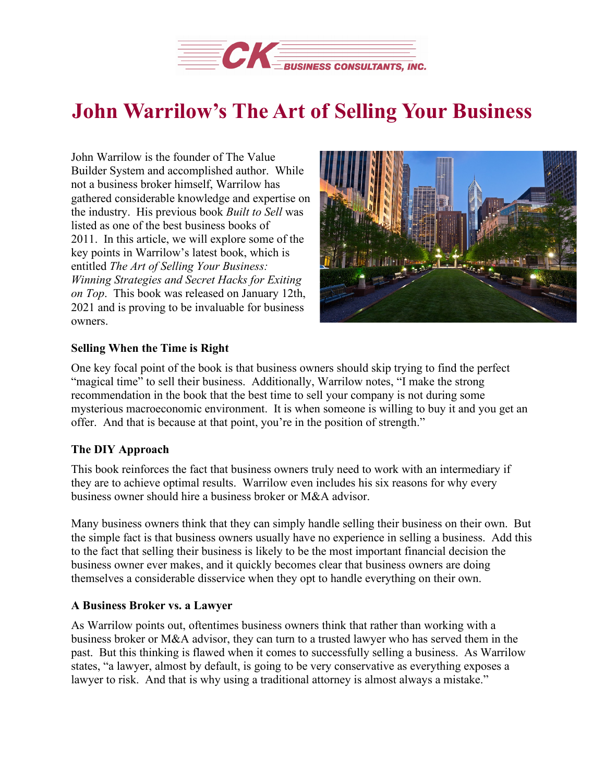

## **John Warrilow's The Art of Selling Your Business**

John Warrilow is the founder of The Value Builder System and accomplished author. While not a business broker himself, Warrilow has gathered considerable knowledge and expertise on the industry. His previous book *Built to Sell* was listed as one of the best business books of 2011. In this article, we will explore some of the key points in Warrilow's latest book, which is entitled *The Art of Selling Your Business: Winning Strategies and Secret Hacks for Exiting on Top*. This book was released on January 12th, 2021 and is proving to be invaluable for business owners.



## **Selling When the Time is Right**

One key focal point of the book is that business owners should skip trying to find the perfect "magical time" to sell their business. Additionally, Warrilow notes, "I make the strong recommendation in the book that the best time to sell your company is not during some mysterious macroeconomic environment. It is when someone is willing to buy it and you get an offer. And that is because at that point, you're in the position of strength."

## **The DIY Approach**

This book reinforces the fact that business owners truly need to work with an intermediary if they are to achieve optimal results. Warrilow even includes his six reasons for why every business owner should hire a business broker or M&A advisor.

Many business owners think that they can simply handle selling their business on their own. But the simple fact is that business owners usually have no experience in selling a business. Add this to the fact that selling their business is likely to be the most important financial decision the business owner ever makes, and it quickly becomes clear that business owners are doing themselves a considerable disservice when they opt to handle everything on their own.

## **A Business Broker vs. a Lawyer**

As Warrilow points out, oftentimes business owners think that rather than working with a business broker or M&A advisor, they can turn to a trusted lawyer who has served them in the past. But this thinking is flawed when it comes to successfully selling a business. As Warrilow states, "a lawyer, almost by default, is going to be very conservative as everything exposes a lawyer to risk. And that is why using a traditional attorney is almost always a mistake."